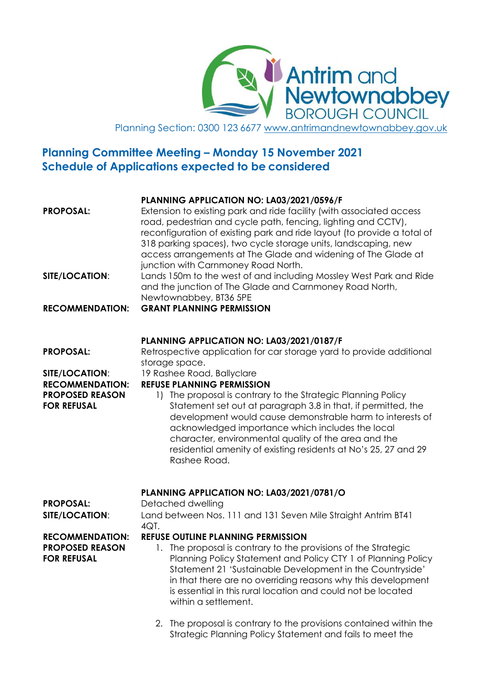**Y Antrim and<br>W Newtownabbey<br>V BOROUGH COUNCIL** Planning Section: 0300 123 6677 www.antrimandnewtownabbey.gov.uk

# **Planning Committee Meeting – Monday 15 November 2021 Schedule of Applications expected to be considered**

| <b>PROPOSAL:</b>                                                                                             | PLANNING APPLICATION NO: LA03/2021/0596/F<br>Extension to existing park and ride facility (with associated access<br>road, pedestrian and cycle path, fencing, lighting and CCTV),<br>reconfiguration of existing park and ride layout (to provide a total of<br>318 parking spaces), two cycle storage units, landscaping, new<br>access arrangements at The Glade and widening of The Glade at<br>junction with Carnmoney Road North.                                                                                                                                                             |
|--------------------------------------------------------------------------------------------------------------|-----------------------------------------------------------------------------------------------------------------------------------------------------------------------------------------------------------------------------------------------------------------------------------------------------------------------------------------------------------------------------------------------------------------------------------------------------------------------------------------------------------------------------------------------------------------------------------------------------|
| SITE/LOCATION:                                                                                               | Lands 150m to the west of and including Mossley West Park and Ride<br>and the junction of The Glade and Carnmoney Road North,<br>Newtownabbey, BT36 5PE                                                                                                                                                                                                                                                                                                                                                                                                                                             |
| <b>RECOMMENDATION:</b>                                                                                       | <b>GRANT PLANNING PERMISSION</b>                                                                                                                                                                                                                                                                                                                                                                                                                                                                                                                                                                    |
| <b>PROPOSAL:</b><br>SITE/LOCATION:<br><b>RECOMMENDATION:</b><br><b>PROPOSED REASON</b><br><b>FOR REFUSAL</b> | PLANNING APPLICATION NO: LA03/2021/0187/F<br>Retrospective application for car storage yard to provide additional<br>storage space.<br>19 Rashee Road, Ballyclare<br><b>REFUSE PLANNING PERMISSION</b><br>1) The proposal is contrary to the Strategic Planning Policy<br>Statement set out at paragraph 3.8 in that, if permitted, the<br>development would cause demonstrable harm to interests of<br>acknowledged importance which includes the local<br>character, environmental quality of the area and the<br>residential amenity of existing residents at No's 25, 27 and 29<br>Rashee Road. |
| <b>PROPOSAL:</b><br><b>SITE/LOCATION:</b>                                                                    | PLANNING APPLICATION NO: LA03/2021/0781/O<br>Detached dwelling<br>Land between Nos. 111 and 131 Seven Mile Straight Antrim BT41<br>4QT.                                                                                                                                                                                                                                                                                                                                                                                                                                                             |
| <b>RECOMMENDATION:</b><br><b>PROPOSED REASON</b><br><b>FOR REFUSAL</b>                                       | <b>REFUSE OUTLINE PLANNING PERMISSION</b><br>1. The proposal is contrary to the provisions of the Strategic<br>Planning Policy Statement and Policy CTY 1 of Planning Policy<br>Statement 21 'Sustainable Development in the Countryside'<br>in that there are no overriding reasons why this development<br>is essential in this rural location and could not be located<br>within a settlement.                                                                                                                                                                                                   |

2. The proposal is contrary to the provisions contained within the Strategic Planning Policy Statement and fails to meet the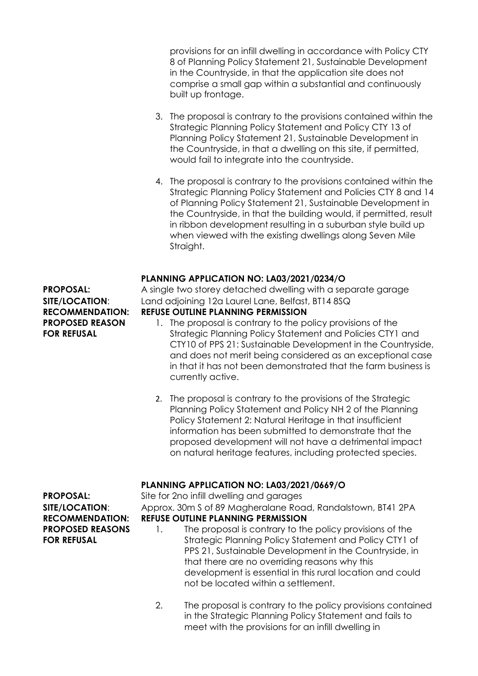provisions for an infill dwelling in accordance with Policy CTY 8 of Planning Policy Statement 21, Sustainable Development in the Countryside, in that the application site does not comprise a small gap within a substantial and continuously built up frontage.

- 3. The proposal is contrary to the provisions contained within the Strategic Planning Policy Statement and Policy CTY 13 of Planning Policy Statement 21, Sustainable Development in the Countryside, in that a dwelling on this site, if permitted, would fail to integrate into the countryside.
- 4. The proposal is contrary to the provisions contained within the Strategic Planning Policy Statement and Policies CTY 8 and 14 of Planning Policy Statement 21, Sustainable Development in the Countryside, in that the building would, if permitted, result in ribbon development resulting in a suburban style build up when viewed with the existing dwellings along Seven Mile Straight.

#### **PLANNING APPLICATION NO: LA03/2021/0234/O**

**PROPOSED REASON FOR REFUSAL**

**PROPOSAL:** A single two storey detached dwelling with a separate garage **SITE/LOCATION**: Land adjoining 12a Laurel Lane, Belfast, BT14 8SQ

- **RECOMMENDATION: REFUSE OUTLINE PLANNING PERMISSION**
	- 1. The proposal is contrary to the policy provisions of the Strategic Planning Policy Statement and Policies CTY1 and CTY10 of PPS 21: Sustainable Development in the Countryside, and does not merit being considered as an exceptional case in that it has not been demonstrated that the farm business is currently active.
	- 2. The proposal is contrary to the provisions of the Strategic Planning Policy Statement and Policy NH 2 of the Planning Policy Statement 2: Natural Heritage in that insufficient information has been submitted to demonstrate that the proposed development will not have a detrimental impact on natural heritage features, including protected species.

**PLANNING APPLICATION NO: LA03/2021/0669/O**

**PROPOSAL:** Site for 2no infill dwelling and garages

**SITE/LOCATION:** Approx. 30m S of 89 Magheralane Road, Randalstown, BT41 2PA **RECOMMENDATION: REFUSE OUTLINE PLANNING PERMISSION**

- - 1. The proposal is contrary to the policy provisions of the Strategic Planning Policy Statement and Policy CTY1 of PPS 21, Sustainable Development in the Countryside, in that there are no overriding reasons why this development is essential in this rural location and could not be located within a settlement.
	- 2. The proposal is contrary to the policy provisions contained in the Strategic Planning Policy Statement and fails to meet with the provisions for an infill dwelling in

**PROPOSED REASONS FOR REFUSAL**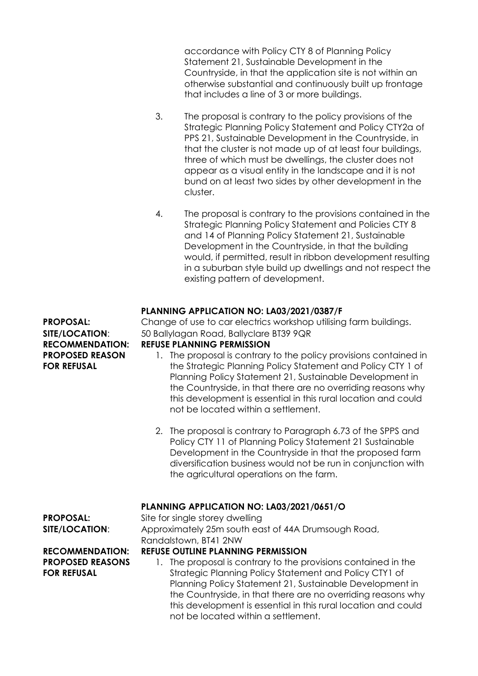accordance with Policy CTY 8 of Planning Policy Statement 21, Sustainable Development in the Countryside, in that the application site is not within an otherwise substantial and continuously built up frontage that includes a line of 3 or more buildings.

- 3. The proposal is contrary to the policy provisions of the Strategic Planning Policy Statement and Policy CTY2a of PPS 21, Sustainable Development in the Countryside, in that the cluster is not made up of at least four buildings, three of which must be dwellings, the cluster does not appear as a visual entity in the landscape and it is not bund on at least two sides by other development in the cluster.
- 4. The proposal is contrary to the provisions contained in the Strategic Planning Policy Statement and Policies CTY 8 and 14 of Planning Policy Statement 21, Sustainable Development in the Countryside, in that the building would, if permitted, result in ribbon development resulting in a suburban style build up dwellings and not respect the existing pattern of development.

# **PLANNING APPLICATION NO: LA03/2021/0387/F**

**RECOMMENDATION: REFUSE PLANNING PERMISSION PROPOSED REASON FOR REFUSAL**

**PROPOSAL:** Change of use to car electrics workshop utilising farm buildings. **SITE/LOCATION:** 50 Ballylagan Road, Ballyclare BT39 9QR

- 1. The proposal is contrary to the policy provisions contained in the Strategic Planning Policy Statement and Policy CTY 1 of Planning Policy Statement 21, Sustainable Development in the Countryside, in that there are no overriding reasons why this development is essential in this rural location and could not be located within a settlement.
- 2. The proposal is contrary to Paragraph 6.73 of the SPPS and Policy CTY 11 of Planning Policy Statement 21 Sustainable Development in the Countryside in that the proposed farm diversification business would not be run in conjunction with the agricultural operations on the farm.

#### **PLANNING APPLICATION NO: LA03/2021/0651/O**

**PROPOSAL:** Site for single storey dwelling

**SITE/LOCATION:** Approximately 25m south east of 44A Drumsough Road, Randalstown, BT41 2NW

# **PROPOSED REASONS FOR REFUSAL**

#### **RECOMMENDATION: REFUSE OUTLINE PLANNING PERMISSION**

1. The proposal is contrary to the provisions contained in the Strategic Planning Policy Statement and Policy CTY1 of Planning Policy Statement 21, Sustainable Development in the Countryside, in that there are no overriding reasons why this development is essential in this rural location and could not be located within a settlement.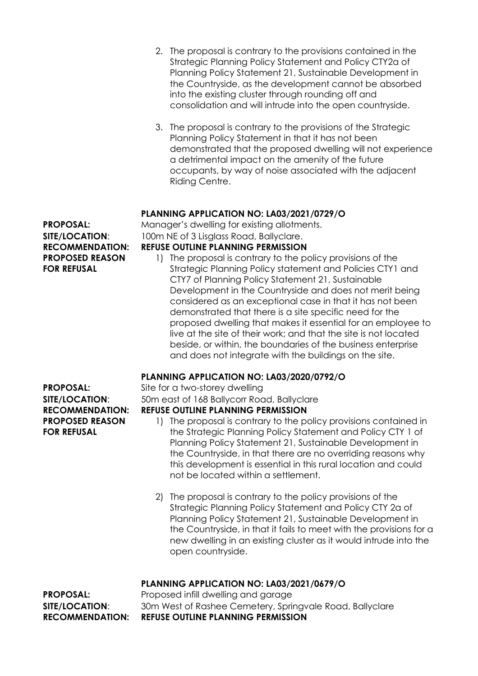- 2. The proposal is contrary to the provisions contained in the Strategic Planning Policy Statement and Policy CTY2a of Planning Policy Statement 21, Sustainable Development in the Countryside, as the development cannot be absorbed into the existing cluster through rounding off and consolidation and will intrude into the open countryside.
- 3. The proposal is contrary to the provisions of the Strategic Planning Policy Statement in that it has not been demonstrated that the proposed dwelling will not experience a detrimental impact on the amenity of the future occupants, by way of noise associated with the adjacent Riding Centre.

#### **PLANNING APPLICATION NO: LA03/2021/0729/O**

**PROPOSAL:** Manager's dwelling for existing allotments. **SITE/LOCATION:** 100m NE of 3 Lisglass Road, Ballyclare. **RECOMMENDATION: REFUSE OUTLINE PLANNING PERMISSION**

1) The proposal is contrary to the policy provisions of the Strategic Planning Policy statement and Policies CTY1 and CTY7 of Planning Policy Statement 21, Sustainable Development in the Countryside and does not merit being considered as an exceptional case in that it has not been demonstrated that there is a site specific need for the proposed dwelling that makes it essential for an employee to live at the site of their work; and that the site is not located beside, or within, the boundaries of the business enterprise and does not integrate with the buildings on the site.

# **PLANNING APPLICATION NO: LA03/2020/0792/O**

**PROPOSAL:** Site for a two-storey dwelling **SITE/LOCATION:** 50m east of 168 Ballycorr Road, Ballyclare **RECOMMENDATION: REFUSE OUTLINE PLANNING PERMISSION**

- 1) The proposal is contrary to the policy provisions contained in the Strategic Planning Policy Statement and Policy CTY 1 of Planning Policy Statement 21, Sustainable Development in the Countryside, in that there are no overriding reasons why this development is essential in this rural location and could not be located within a settlement.
- 2) The proposal is contrary to the policy provisions of the Strategic Planning Policy Statement and Policy CTY 2a of Planning Policy Statement 21, Sustainable Development in the Countryside, in that it fails to meet with the provisions for a new dwelling in an existing cluster as it would intrude into the open countryside.

# **PLANNING APPLICATION NO: LA03/2021/0679/O**

**PROPOSAL:** Proposed infill dwelling and garage **SITE/LOCATION**: 30m West of Rashee Cemetery, Springvale Road, Ballyclare **RECOMMENDATION: REFUSE OUTLINE PLANNING PERMISSION**

**FOR REFUSAL**

**PROPOSED REASON**

**PROPOSED REASON FOR REFUSAL**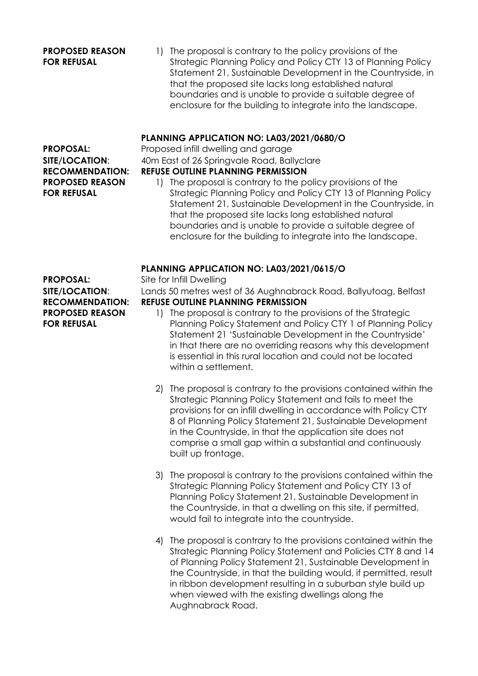#### **PROPOSED REASON FOR REFUSAL**

**PROPOSED REASON**

**FOR REFUSAL**

1) The proposal is contrary to the policy provisions of the Strategic Planning Policy and Policy CTY 13 of Planning Policy Statement 21, Sustainable Development in the Countryside, in that the proposed site lacks long established natural boundaries and is unable to provide a suitable degree of enclosure for the building to integrate into the landscape.

### **PLANNING APPLICATION NO: LA03/2021/0680/O**

**PROPOSAL:** Proposed infill dwelling and garage **SITE/LOCATION:** 40m East of 26 Springvale Road, Ballyclare **RECOMMENDATION: REFUSE OUTLINE PLANNING PERMISSION**

- 1) The proposal is contrary to the policy provisions of the
- Strategic Planning Policy and Policy CTY 13 of Planning Policy Statement 21, Sustainable Development in the Countryside, in that the proposed site lacks long established natural boundaries and is unable to provide a suitable degree of enclosure for the building to integrate into the landscape.

#### **PLANNING APPLICATION NO: LA03/2021/0615/O**

**SITE/LOCATION:** Lands 50 metres west of 36 Aughnabrack Road, Ballyutoag, Belfast **RECOMMENDATION: REFUSE OUTLINE PLANNING PERMISSION**

- 1) The proposal is contrary to the provisions of the Strategic Planning Policy Statement and Policy CTY 1 of Planning Policy Statement 21 'Sustainable Development in the Countryside' in that there are no overriding reasons why this development is essential in this rural location and could not be located within a settlement.
- 2) The proposal is contrary to the provisions contained within the Strategic Planning Policy Statement and fails to meet the provisions for an infill dwelling in accordance with Policy CTY 8 of Planning Policy Statement 21, Sustainable Development in the Countryside, in that the application site does not comprise a small gap within a substantial and continuously built up frontage.
- 3) The proposal is contrary to the provisions contained within the Strategic Planning Policy Statement and Policy CTY 13 of Planning Policy Statement 21, Sustainable Development in the Countryside, in that a dwelling on this site, if permitted, would fail to integrate into the countryside.
- 4) The proposal is contrary to the provisions contained within the Strategic Planning Policy Statement and Policies CTY 8 and 14 of Planning Policy Statement 21, Sustainable Development in the Countryside, in that the building would, if permitted, result in ribbon development resulting in a suburban style build up when viewed with the existing dwellings along the Aughnabrack Road.

**PROPOSAL:** Site for Infill Dwelling **PROPOSED REASON FOR REFUSAL**